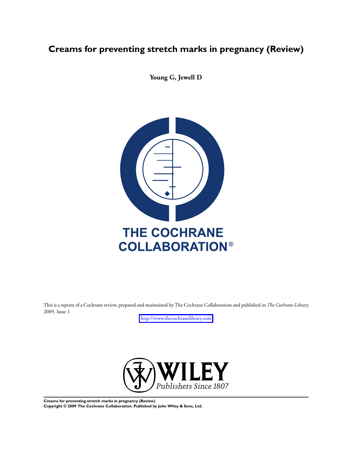# **Creams for preventing stretch marks in pregnancy (Review)**

**Young G, Jewell D**



This is a reprint of a Cochrane review, prepared and maintained by The Cochrane Collaboration and published in *The Cochrane Library* 2009, Issue 1

<http://www.thecochranelibrary.com>



**Creams for preventing stretch marks in pregnancy (Review) Copyright © 2009 The Cochrane Collaboration. Published by John Wiley & Sons, Ltd.**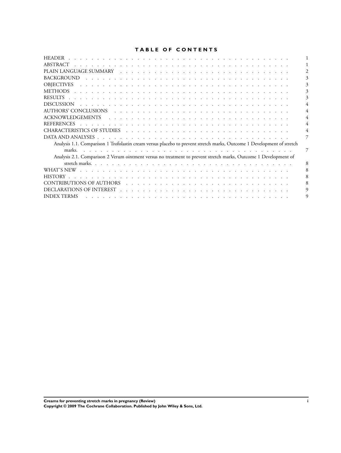### **TABLE OF CONTENTS**

| <b>HEADER</b>                                                                                                                                                                                                                                             |   |
|-----------------------------------------------------------------------------------------------------------------------------------------------------------------------------------------------------------------------------------------------------------|---|
| ABSTRACT                                                                                                                                                                                                                                                  |   |
|                                                                                                                                                                                                                                                           |   |
| <b>BACKGROUND</b><br>the contract of the contract of the contract of the contract of the contract of the contract of the contract of                                                                                                                      |   |
| <b>OBJECTIVES</b>                                                                                                                                                                                                                                         |   |
|                                                                                                                                                                                                                                                           |   |
|                                                                                                                                                                                                                                                           |   |
| <b>DISCUSSION</b>                                                                                                                                                                                                                                         |   |
|                                                                                                                                                                                                                                                           |   |
| ACKNOWLEDGEMENTS<br>the contract of the contract of the contract of the contract of the contract of the contract of the contract of                                                                                                                       |   |
| <b>REFERENCES</b><br><u>. In the second contract of the second contract of the second contract of the second contract of the second contract of the second contract of the second contract of the second contract of the second contract of the secon</u> |   |
|                                                                                                                                                                                                                                                           |   |
|                                                                                                                                                                                                                                                           |   |
| Analysis 1.1. Comparison 1 Trofolastin cream versus placebo to prevent stretch marks, Outcome 1 Development of stretch                                                                                                                                    |   |
| marks.                                                                                                                                                                                                                                                    | 7 |
| Analysis 2.1. Comparison 2 Verum ointment versus no treatment to prevent stretch marks, Outcome 1 Development of                                                                                                                                          |   |
|                                                                                                                                                                                                                                                           | 8 |
|                                                                                                                                                                                                                                                           |   |
| <b>HISTORY</b>                                                                                                                                                                                                                                            |   |
|                                                                                                                                                                                                                                                           |   |
|                                                                                                                                                                                                                                                           |   |
| <b>INDEX TERMS</b><br>والمتعاونة والمتعاونة والمتعاونة والمتعاونة والمتعاونة والمتعاونة والمتعاونة والمتعاونة والمتعاونة والمتعاونة                                                                                                                       |   |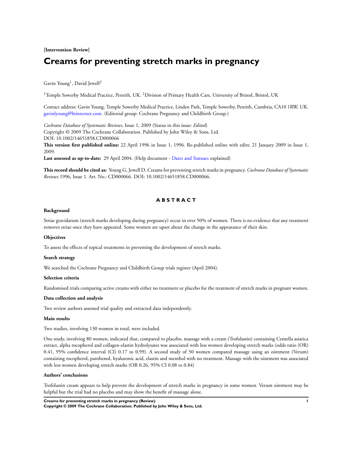### **[Intervention Review]**

# **Creams for preventing stretch marks in pregnancy**

### Gavin Young<sup>1</sup>, David Jewell<sup>2</sup>

<sup>1</sup>Temple Sowerby Medical Practice, Penrith, UK. <sup>2</sup>Division of Primary Health Care, University of Bristol, Bristol, UK

Contact address: Gavin Young, Temple Sowerby Medical Practice, Linden Park, Temple Sowerby, Penrith, Cumbria, CA10 1RW, UK. [gavinlyoung@btinternet.com](mailto:gavinlyoung@btinternet.com). (Editorial group: Cochrane Pregnancy and Childbirth Group.)

*Cochrane Database of Systematic Reviews*, Issue 1, 2009 (Status in this issue: *Edited*) Copyright © 2009 The Cochrane Collaboration. Published by John Wiley & Sons, Ltd. DOI: 10.1002/14651858.CD000066

**This version first published online:** 22 April 1996 in Issue 1, 1996. Re-published online with edits: 21 January 2009 in Issue 1, 2009.

**Last assessed as up-to-date:** 29 April 2004. (Help document - [Dates and Statuses](http://www3.interscience.wiley.com/cgi-bin/mrwhome/106568753/DatesStatuses.pdf) explained)

**This record should be cited as:** Young G, Jewell D. Creams for preventing stretch marks in pregnancy. *Cochrane Database of Systematic Reviews* 1996, Issue 1. Art. No.: CD000066. DOI: 10.1002/14651858.CD000066.

### **A B S T R A C T**

### **Background**

Striae gravidarum (stretch marks developing during pregnancy) occur in over 50% of women. There is no evidence that any treatment removes striae once they have appeared. Some women are upset about the change in the appearance of their skin.

#### **Objectives**

To assess the effects of topical treatments in preventing the development of stretch marks.

#### **Search strategy**

We searched the Cochrane Pregnancy and Childbirth Group trials register (April 2004).

#### **Selection criteria**

Randomised trials comparing active creams with either no treatment or placebo for the treatment of stretch marks in pregnant women.

#### **Data collection and analysis**

Two review authors assessed trial quality and extracted data independently.

#### **Main results**

Two studies, involving 130 women in total, were included.

One study, involving 80 women, indicated that, compared to placebo, massage with a cream (Trofolastin) containing Centella asiatica extract, alpha tocopherol and collagen-elastin hydrolysates was associated with less women developing stretch marks (odds ratio (OR) 0.41, 95% confidence interval (CI) 0.17 to 0.99). A second study of 50 women compared massage using an ointment (Verum) containing tocopherol, panthenol, hyaluronic acid, elastin and menthol with no treatment. Massage with the ointment was associated with less women developing stretch marks (OR 0.26, 95% CI 0.08 to 0.84)

#### **Authors' conclusions**

Trofolastin cream appears to help prevent the development of stretch marks in pregnancy in some women. Verum ointment may be helpful but the trial had no placebo and may show the benefit of massage alone.

**Creams for preventing stretch marks in pregnancy (Review) 1**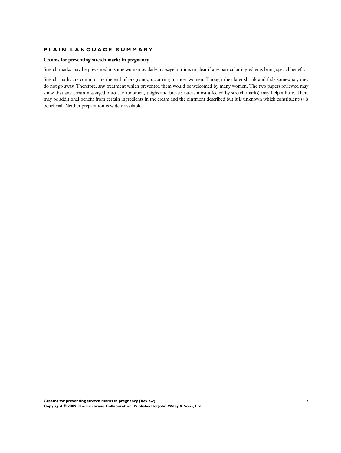### **P L A I N L A N G U A G E S U M M A R Y**

### **Creams for preventing stretch marks in pregnancy**

Stretch marks may be prevented in some women by daily massage but it is unclear if any particular ingredients bring special benefit.

Stretch marks are common by the end of pregnancy, occurring in most women. Though they later shrink and fade somewhat, they do not go away. Therefore, any treatment which prevented them would be welcomed by many women. The two papers reviewed may show that any cream massaged onto the abdomen, thighs and breasts (areas most affected by stretch marks) may help a little. There may be additional benefit from certain ingredients in the cream and the ointment described but it is unknown which constituent(s) is beneficial. Neither preparation is widely available.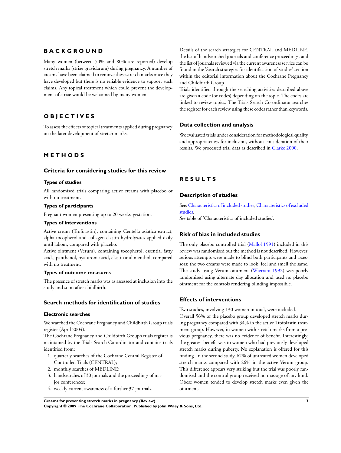### **B A C K G R O U N D**

Many women (between 50% and 80% are reported) develop stretch marks (striae gravidarum) during pregnancy. A number of creams have been claimed to remove these stretch marks once they have developed but there is no reliable evidence to support such claims. Any topical treatment which could prevent the development of striae would be welcomed by many women.

## **O B J E C T I V E S**

To assess the effects of topical treatments applied during pregnancy on the later development of stretch marks.

### **M E T H O D S**

### **Criteria for considering studies for this review**

### **Types of studies**

All randomised trials comparing active creams with placebo or with no treatment.

### **Types of participants**

Pregnant women presenting up to 20 weeks' gestation.

### **Types of interventions**

Active cream (Trofolastin), containing Centella asiatica extract, alpha tocopherol and collagen-elastin hydrolysates applied daily until labour, compared with placebo.

Active ointment (Verum), containing tocopherol, essential fatty acids, panthenol, hyaluronic acid, elastin and menthol, compared with no treatment.

#### **Types of outcome measures**

The presence of stretch marks was as assessed at inclusion into the study and soon after childbirth.

### **Search methods for identification of studies**

#### **Electronic searches**

We searched the Cochrane Pregnancy and Childbirth Group trials register (April 2004).

The Cochrane Pregnancy and Childbirth Group's trials register is maintained by the Trials Search Co-ordinator and contains trials identified from:

- 1. quarterly searches of the Cochrane Central Register of Controlled Trials (CENTRAL);
- 2. monthly searches of MEDLINE;
- 3. handsearches of 30 journals and the proceedings of major conferences;
- 4. weekly current awareness of a further 37 journals.

Details of the search strategies for CENTRAL and MEDLINE, the list of handsearched journals and conference proceedings, and the list of journals reviewed via the current awareness service can be found in the 'Search strategies for identification of studies' section within the editorial information about the Cochrane Pregnancy and Childbirth Group.

Trials identified through the searching activities described above are given a code (or codes) depending on the topic. The codes are linked to review topics. The Trials Search Co-ordinator searches the register for each review using these codes rather than keywords.

### **Data collection and analysis**

We evaluated trials under consideration for methodological quality and appropriateness for inclusion, without consideration of their results. We processed trial data as described in [Clarke 2000.](#page-5-0)

### **R E S U L T S**

### **Description of studies**

See:[Characteristics of included studies;](#page-6-0)[Characteristics of excluded](#page-7-0) [studies.](#page-7-0)

*See* table of 'Characteristics of included studies'.

### **Risk of bias in included studies**

The only placebo controlled trial [\(Mallol 1991\)](#page-5-0) included in this review was randomised but the method is not described. However, serious attempts were made to blind both participants and assessors: the two creams were made to look, feel and smell the same. The study using Verum ointment ([Wierrani 1992](#page-5-0)) was poorly randomised using alternate day allocation and used no placebo ointment for the controls rendering blinding impossible.

### **Effects of interventions**

Two studies, involving 130 women in total, were included. Overall 56% of the placebo group developed stretch marks during pregnancy compared with 34% in the active Trofolastin treatment group. However, in women with stretch marks from a previous pregnancy, there was no evidence of benefit. Interestingly, the greatest benefit was to women who had previously developed stretch marks during puberty. No explanation is offered for this finding. In the second study, 62% of untreated women developed stretch marks compared with 26% in the active Verum group. This difference appears very striking but the trial was poorly randomised and the control group received no massage of any kind. Obese women tended to develop stretch marks even given the ointment.

**Creams for preventing stretch marks in pregnancy (Review) 3**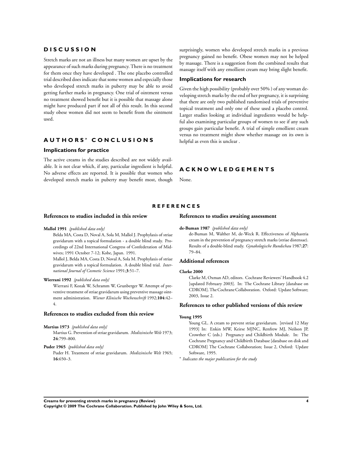#### <span id="page-5-0"></span>**D I S C U S S I O N**

Stretch marks are not an illness but many women are upset by the appearance of such marks during pregnancy. There is no treatment for them once they have developed . The one placebo controlled trial described does indicate that some women and especially those who developed stretch marks in puberty may be able to avoid getting further marks in pregnancy. One trial of ointment versus no treatment showed benefit but it is possible that massage alone might have produced part if not all of this result. In this second study obese women did not seem to benefit from the ointment used.

### **A U T H O R S ' C O N C L U S I O N S**

### **Implications for practice**

The active creams in the studies described are not widely available. It is not clear which, if any, particular ingredient is helpful. No adverse effects are reported. It is possible that women who developed stretch marks in puberty may benefit most, though surprisingly, women who developed stretch marks in a previous pregnancy gained no benefit. Obese women may not be helped by massage. There is a suggestion from the combined results that massage itself with any emollient cream may bring slight benefit.

#### **Implications for research**

Given the high possibility (probably over 50% ) of any woman developing stretch marks by the end of her pregnancy, it is surprising that there are only two published randomised trials of preventive topical treatment and only one of these used a placebo control. Larger studies looking at individual ingredients would be helpful also examining particular groups of women to see if any such groups gain particular benefit. A trial of simple emollient cream versus no treatment might show whether massage on its own is helpful as even this is unclear .

### **A C K N O W L E D G E M E N T S**

**References to studies awaiting assessment**

None.

### **R E F E R E N C E S**

#### **References to studies included in this review**

#### **Mallol 1991** *{published data only}*

Belda MA, Costa D, Noval A, Sola M, Mallol J. Prophylaxis of striae gravidarum with a topical formulation - a double blind study. Proceedings of 22nd International Congress of Confederation of Midwives; 1991 October 7-12; Kobe, Japan. 1991.

Mallol J, Belda MA, Costa D, Noval A, Sola M. Prophylaxis of striae gravidarum with a topical formulation. A double blind trial. *International Journal of Cosmetic Science* 1991;**3**:51–7.

### **Wierrani 1992** *{published data only}*

Wierrani F, Kozak W, Schramm W, Grunberger W. Attempt of preventive treatment of striae gravidarum using preventive massage ointment administration. *Wiener Klinische Wochenschrift* 1992;**104**:42– 4.

### **References to studies excluded from this review**

#### **Martius 1973** *{published data only}*

Martius G. Prevention of striae gravidarum. *Medizinische Welt* 1973; **24**:799–800.

**Puder 1965** *{published data only}*

Puder H. Treatment of striae gravidarum. *Medizinische Welt* 1965; **16**:650–3.

#### **de-Buman 1987** *{published data only}*

de-Buman M, Walther M, de-Weck R. Effectiveness of Alphastria cream in the prevention of pregnancy stretch marks (striae distensae). Results of a double-blind study. *Gynakologische Rundschau* 1987;**27**: 79–84.

#### **Additional references**

#### **Clarke 2000**

Clarke M, Oxman AD, editors. Cochrane Reviewers' Handbook 4.2 [updated February 2003]. In: The Cochrane Library [database on CDROM]. The Cochrane Collaboration. Oxford: Update Software; 2003, Issue 2.

#### **References to other published versions of this review**

#### **Young 1995**

Young GL. A cream to prevent striae gravidarum. [revised 12 May 1993] In: Enkin MW, Keirse MJNC, Renfrew MJ, Neilson JP, Crowther C (eds.) Pregnancy and Childbirth Module. In: The Cochrane Pregnancy and Childbirth Database [database on disk and CDROM] The Cochrane Collaboration; Issue 2, Oxford: Update Software, 1995.

∗ *Indicates the major publication for the study*

**Creams for preventing stretch marks in pregnancy (Review) 4**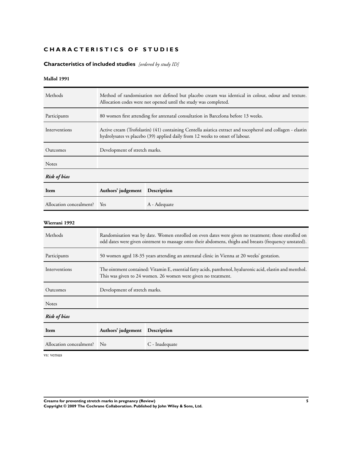## <span id="page-6-0"></span>**CHARACTERISTICS OF STUDIES**

# **Characteristics of included studies** *[ordered by study ID]*

### **Mallol 1991**

| Methods                 | Method of randomisation not defined but placebo cream was identical in colour, odour and texture.<br>Allocation codes were not opened until the study was completed.                                         |                                                                                                                                                                                            |  |  |
|-------------------------|--------------------------------------------------------------------------------------------------------------------------------------------------------------------------------------------------------------|--------------------------------------------------------------------------------------------------------------------------------------------------------------------------------------------|--|--|
| Participants            |                                                                                                                                                                                                              | 80 women first attending for antenatal consultation in Barcelona before 13 weeks.                                                                                                          |  |  |
| Interventions           |                                                                                                                                                                                                              | Active cream (Trofolastin) (41) containing Centella asiatica extract and tocopherol and collagen - elastin<br>hydrolysates vs placebo (39) applied daily from 12 weeks to onset of labour. |  |  |
| Outcomes                | Development of stretch marks.                                                                                                                                                                                |                                                                                                                                                                                            |  |  |
| Notes                   |                                                                                                                                                                                                              |                                                                                                                                                                                            |  |  |
| <b>Risk of bias</b>     |                                                                                                                                                                                                              |                                                                                                                                                                                            |  |  |
| Item                    | Authors' judgement Description                                                                                                                                                                               |                                                                                                                                                                                            |  |  |
| Allocation concealment? | Yes                                                                                                                                                                                                          | A - Adequate                                                                                                                                                                               |  |  |
| Wierrani 1992           |                                                                                                                                                                                                              |                                                                                                                                                                                            |  |  |
| Methods                 | Randomisation was by date. Women enrolled on even dates were given no treatment; those enrolled on<br>odd dates were given ointment to massage onto their abdomens, thighs and breasts (frequency unstated). |                                                                                                                                                                                            |  |  |
| Participants            | 50 women aged 18-35 years attending an antenatal clinic in Vienna at 20 weeks' gestation.                                                                                                                    |                                                                                                                                                                                            |  |  |
| Interventions           | The ointment contained: Vitamin E, essential fatty acids, panthenol, hyaluronic acid, elastin and menthol.<br>This was given to 24 women. 26 women were given no treatment.                                  |                                                                                                                                                                                            |  |  |
| Outcomes                | Development of stretch marks.                                                                                                                                                                                |                                                                                                                                                                                            |  |  |
| <b>Notes</b>            |                                                                                                                                                                                                              |                                                                                                                                                                                            |  |  |
| <b>Risk of bias</b>     |                                                                                                                                                                                                              |                                                                                                                                                                                            |  |  |
| Item                    | Authors' judgement                                                                                                                                                                                           | Description                                                                                                                                                                                |  |  |
| Allocation concealment? | No                                                                                                                                                                                                           | C - Inadequate                                                                                                                                                                             |  |  |

vs: versus

**Creams for preventing stretch marks in pregnancy (Review) 5**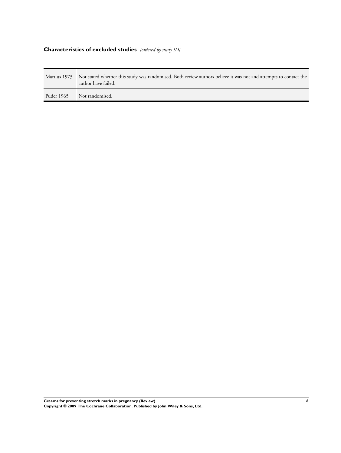# <span id="page-7-0"></span>**Characteristics of excluded studies** *[ordered by study ID]*

|            | Martius 1973 Not stated whether this study was randomised. Both review authors believe it was not and attempts to contact the<br>author have failed. |
|------------|------------------------------------------------------------------------------------------------------------------------------------------------------|
| Puder 1965 | Not randomised.                                                                                                                                      |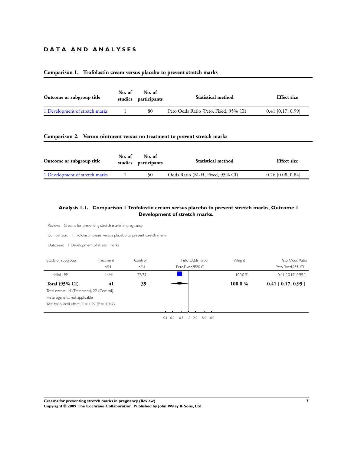### **D A T A A N D A N A L Y S E S**

### **Comparison 1. Trofolastin cream versus placebo to prevent stretch marks**

| Outcome or subgroup title      | No. of | No. of<br>studies participants | <b>Statistical method</b>             | <b>Effect</b> size  |
|--------------------------------|--------|--------------------------------|---------------------------------------|---------------------|
| 1 Development of stretch marks |        | 80                             | Peto Odds Ratio (Peto, Fixed, 95% CI) | $0.41$ [0.17, 0.99] |

### **Comparison 2. Verum ointment versus no treatment to prevent stretch marks**

| Outcome or subgroup title      | No. of | No. of<br>studies participants | <b>Statistical method</b>       | <b>Effect size</b>  |
|--------------------------------|--------|--------------------------------|---------------------------------|---------------------|
| 1 Development of stretch marks |        | 50                             | Odds Ratio (M-H, Fixed, 95% CI) | $0.26$ [0.08, 0.84] |

### **Analysis 1.1. Comparison 1 Trofolastin cream versus placebo to prevent stretch marks, Outcome 1 Development of stretch marks.**

| Review: Creams for preventing stretch marks in pregnancy                                                                                                |                                |                |                                           |         |                                        |
|---------------------------------------------------------------------------------------------------------------------------------------------------------|--------------------------------|----------------|-------------------------------------------|---------|----------------------------------------|
| Comparison:   Trofolastin cream versus placebo to prevent stretch marks                                                                                 |                                |                |                                           |         |                                        |
| Outcome:                                                                                                                                                | I Development of stretch marks |                |                                           |         |                                        |
| Study or subgroup                                                                                                                                       | Treatment<br>n/N               | Control<br>n/N | Peto Odds Ratio<br>Peto, Fixed, 95% CI    | Weight  | Peto Odds Ratio<br>Peto, Fixed, 95% CI |
| Mallol 1991                                                                                                                                             | 4/4                            | 22/39          |                                           | 100.0 % | $0.41$ $[0.17, 0.99]$                  |
| <b>Total (95% CI)</b><br>Total events: 14 (Treatment), 22 (Control)<br>Heterogeneity: not applicable<br>Test for overall effect: $Z = 1.99$ (P = 0.047) | 41                             | 39             |                                           | 100.0%  | $0.41$ [ $0.17, 0.99$ ]                |
|                                                                                                                                                         |                                |                | $0.1$ $0.2$ $0.5$ $1.0$ $2.0$<br>5.0 10.0 |         |                                        |

**Creams for preventing stretch marks in pregnancy (Review) 7**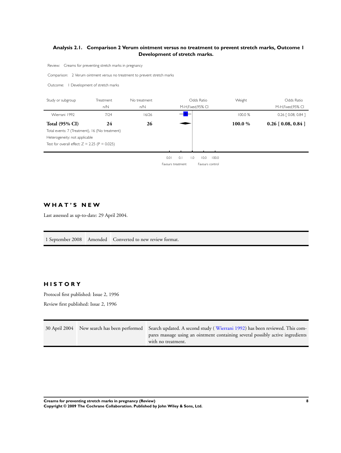### <span id="page-9-0"></span>**Analysis 2.1. Comparison 2 Verum ointment versus no treatment to prevent stretch marks, Outcome 1 Development of stretch marks.**

Review: Creams for preventing stretch marks in pregnancy

Comparison: 2 Verum ointment versus no treatment to prevent stretch marks

Outcome: 1 Development of stretch marks

| Study or subgroup                               | Treatment | No treatment |                   |     | Odds Ratio               |       | Weight  | Odds Ratio                 |
|-------------------------------------------------|-----------|--------------|-------------------|-----|--------------------------|-------|---------|----------------------------|
|                                                 | n/N       | n/N          |                   |     | M-H, Fixed, 95% CI       |       |         | M-H, Fixed, 95% CI         |
| Wierrani 1992                                   | 7/24      | 16/26        |                   |     |                          |       | 100.0%  | $0.26$ $[0.08, 0.84]$      |
| <b>Total (95% CI)</b>                           | 24        | 26           |                   |     |                          |       | 100.0 % | $0.26$ [ $0.08$ , $0.84$ ] |
| Total events: 7 (Treatment), 16 (No treatment)  |           |              |                   |     |                          |       |         |                            |
| Heterogeneity: not applicable                   |           |              |                   |     |                          |       |         |                            |
| Test for overall effect: $Z = 2.25$ (P = 0.025) |           |              |                   |     |                          |       |         |                            |
|                                                 |           |              |                   |     |                          |       |         |                            |
|                                                 |           |              | 0.01              | 0.1 | $\overline{1.0}$<br>10.0 | 100.0 |         |                            |
|                                                 |           |              | Favours treatment |     | Favours control          |       |         |                            |

### **W H A T ' S N E W**

Last assessed as up-to-date: 29 April 2004.

1 September 2008 Amended Converted to new review format.

### **H I S T O R Y**

Protocol first published: Issue 2, 1996

Review first published: Issue 2, 1996

|  | 30 April 2004 New search has been performed Search updated. A second study (Wierrani 1992) has been reviewed. This com- |
|--|-------------------------------------------------------------------------------------------------------------------------|
|  | pares massage using an ointment containing several possibly active ingredients                                          |
|  | with no treatment.                                                                                                      |

**Creams for preventing stretch marks in pregnancy (Review) 8**